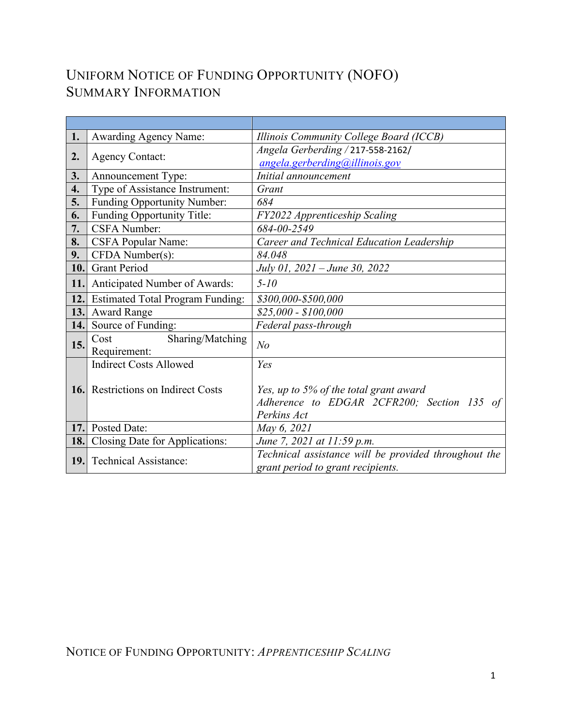# UNIFORM NOTICE OF FUNDING OPPORTUNITY (NOFO) SUMMARY INFORMATION

| 1.         | <b>Awarding Agency Name:</b>              | Illinois Community College Board (ICCB)              |
|------------|-------------------------------------------|------------------------------------------------------|
|            | <b>Agency Contact:</b>                    | Angela Gerberding / 217-558-2162/                    |
| 2.         |                                           | angela.gerberding@illinois.gov                       |
| 3.         | Announcement Type:                        | Initial announcement                                 |
| 4.         | Type of Assistance Instrument:            | Grant                                                |
| 5.         | Funding Opportunity Number:               | 684                                                  |
| 6.         | Funding Opportunity Title:                | FY2022 Apprenticeship Scaling                        |
| 7.         | <b>CSFA Number:</b>                       | 684-00-2549                                          |
| 8.         | <b>CSFA Popular Name:</b>                 | Career and Technical Education Leadership            |
| 9.         | CFDA Number(s):                           | 84.048                                               |
| 10.        | <b>Grant Period</b>                       | July 01, 2021 – June 30, 2022                        |
| 11.        | Anticipated Number of Awards:             | $5 - 10$                                             |
| 12.        | <b>Estimated Total Program Funding:</b>   | \$300,000-\$500,000                                  |
| 13.        | <b>Award Range</b>                        | \$25,000 - \$100,000                                 |
| 14.        | Source of Funding:                        | Federal pass-through                                 |
| 15.        | Sharing/Matching<br>Cost<br>Requirement:  | N <sub>o</sub>                                       |
|            | <b>Indirect Costs Allowed</b>             | Yes                                                  |
|            |                                           |                                                      |
|            | <b>16.</b> Restrictions on Indirect Costs | Yes, up to 5% of the total grant award               |
|            |                                           | Adherence to EDGAR 2CFR200; Section 135 of           |
|            |                                           | Perkins Act                                          |
| <b>17.</b> | Posted Date:                              | May 6, 2021                                          |
| 18.        | Closing Date for Applications:            | June 7, 2021 at 11:59 p.m.                           |
| 19.        | <b>Technical Assistance:</b>              | Technical assistance will be provided throughout the |
|            |                                           | grant period to grant recipients.                    |

NOTICE OF FUNDING OPPORTUNITY: *APPRENTICESHIP SCALING*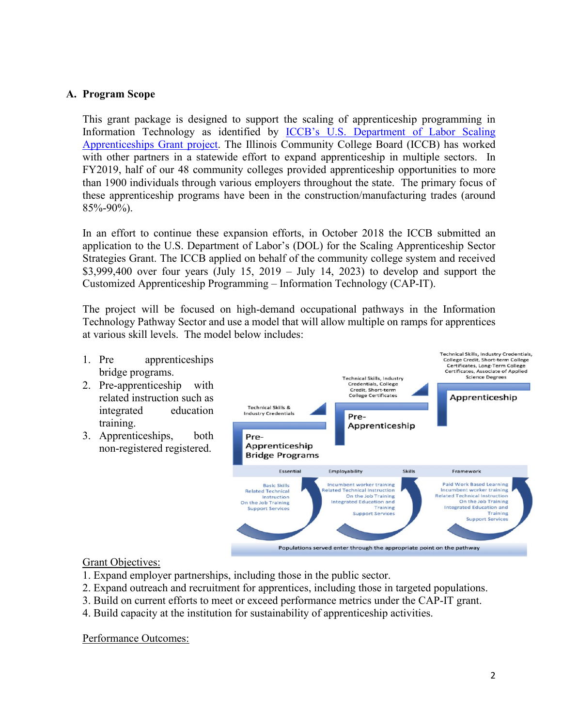#### **A. Program Scope**

This grant package is designed to support the scaling of apprenticeship programming in Information Technology as identified by [ICCB's U.S. Department of Labor Scaling](https://www.iccb.org/cap-it/)  [Apprenticeships Grant project.](https://www.iccb.org/cap-it/) The Illinois Community College Board (ICCB) has worked with other partners in a statewide effort to expand apprenticeship in multiple sectors. In FY2019, half of our 48 community colleges provided apprenticeship opportunities to more than 1900 individuals through various employers throughout the state. The primary focus of these apprenticeship programs have been in the construction/manufacturing trades (around 85%-90%).

In an effort to continue these expansion efforts, in October 2018 the ICCB submitted an application to the U.S. Department of Labor's (DOL) for the Scaling Apprenticeship Sector Strategies Grant. The ICCB applied on behalf of the community college system and received \$3,999,400 over four years (July 15, 2019 – July 14, 2023) to develop and support the Customized Apprenticeship Programming – Information Technology (CAP-IT).

The project will be focused on high-demand occupational pathways in the Information Technology Pathway Sector and use a model that will allow multiple on ramps for apprentices at various skill levels. The model below includes:

**Technical Skills, Industry Credentials,** 1. Pre apprenticeships **College Credit, Short-term College** Certificates, Long-Term College bridge programs. Certificates, Associate of Applied **Science Degrees** Technical Skills, Industry 2. Pre-apprenticeship with **Credentials, College** Credit, Short-term<br>College Certificates related instruction such as Apprenticeship Technical Skills & integrated education **Industry Credentials** Pretraining. Apprenticeship 3. Apprenticeships, both Pre-Apprenticeship non-registered registered. **Bridge Programs** Skills Essential Employability Framework Incumbent worker training Paid Work Based Learning<br>Incumbent worker training **Basic Skills** elated Technical Instruction **Related Technical** On the Job Training **Related Technical Instruction** Instruction Integrated Education and On the Job Training On the Job Training **Support Service** Training **Integrated Education and** Support Service Training **Support Service** Populations served enter through the appropriate point on the pathway

Grant Objectives:

- 1. Expand employer partnerships, including those in the public sector.
- 2. Expand outreach and recruitment for apprentices, including those in targeted populations.
- 3. Build on current efforts to meet or exceed performance metrics under the CAP-IT grant.
- 4. Build capacity at the institution for sustainability of apprenticeship activities.

Performance Outcomes: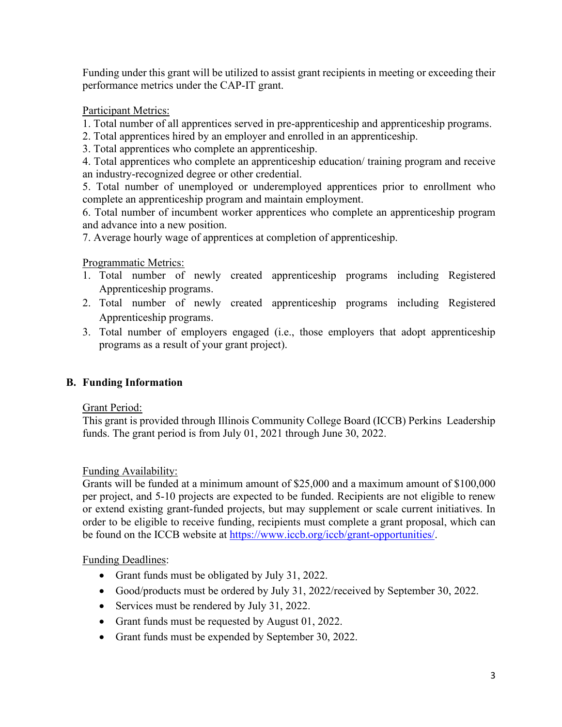Funding under this grant will be utilized to assist grant recipients in meeting or exceeding their performance metrics under the CAP-IT grant.

## Participant Metrics:

- 1. Total number of all apprentices served in pre-apprenticeship and apprenticeship programs.
- 2. Total apprentices hired by an employer and enrolled in an apprenticeship.
- 3. Total apprentices who complete an apprenticeship.

4. Total apprentices who complete an apprenticeship education/ training program and receive an industry-recognized degree or other credential.

5. Total number of unemployed or underemployed apprentices prior to enrollment who complete an apprenticeship program and maintain employment.

6. Total number of incumbent worker apprentices who complete an apprenticeship program and advance into a new position.

7. Average hourly wage of apprentices at completion of apprenticeship.

## Programmatic Metrics:

- 1. Total number of newly created apprenticeship programs including Registered Apprenticeship programs.
- 2. Total number of newly created apprenticeship programs including Registered Apprenticeship programs.
- 3. Total number of employers engaged (i.e., those employers that adopt apprenticeship programs as a result of your grant project).

## **B. Funding Information**

#### Grant Period:

This grant is provided through Illinois Community College Board (ICCB) Perkins Leadership funds. The grant period is from July 01, 2021 through June 30, 2022.

#### Funding Availability:

Grants will be funded at a minimum amount of \$25,000 and a maximum amount of \$100,000 per project, and 5-10 projects are expected to be funded. Recipients are not eligible to renew or extend existing grant-funded projects, but may supplement or scale current initiatives. In order to be eligible to receive funding, recipients must complete a grant proposal, which can be found on the ICCB website at [https://www.iccb.org/iccb/grant-opportunities/.](https://www.iccb.org/iccb/grant-opportunities/)

#### Funding Deadlines:

- Grant funds must be obligated by July 31, 2022.
- Good/products must be ordered by July 31, 2022/received by September 30, 2022.
- Services must be rendered by July 31, 2022.
- Grant funds must be requested by August 01, 2022.
- Grant funds must be expended by September 30, 2022.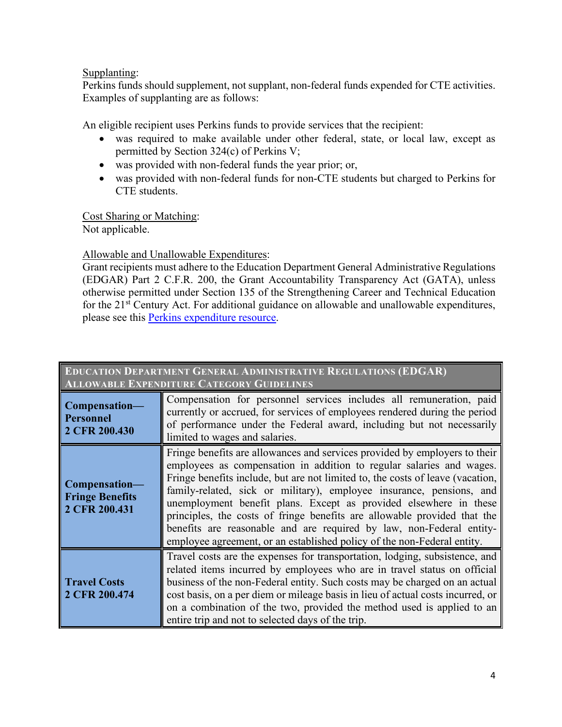## Supplanting:

Perkins funds should supplement, not supplant, non-federal funds expended for CTE activities. Examples of supplanting are as follows:

An eligible recipient uses Perkins funds to provide services that the recipient:

- was required to make available under other federal, state, or local law, except as permitted by Section 324(c) of Perkins V;
- was provided with non-federal funds the year prior; or,
- was provided with non-federal funds for non-CTE students but charged to Perkins for CTE students.

Cost Sharing or Matching: Not applicable.

## Allowable and Unallowable Expenditures:

Grant recipients must adhere to the Education Department General Administrative Regulations (EDGAR) Part 2 C.F.R. 200, the Grant Accountability Transparency Act (GATA), unless otherwise permitted under Section 135 of the Strengthening Career and Technical Education for the  $21<sup>st</sup>$  Century Act. For additional guidance on allowable and unallowable expenditures, please see this [Perkins expenditure resource.](https://www.iccb.org/cte/perkins/perkins-guidelines/)

| <b>EDUCATION DEPARTMENT GENERAL ADMINISTRATIVE REGULATIONS (EDGAR)</b><br><b>ALLOWABLE EXPENDITURE CATEGORY GUIDELINES</b> |                                                                                                                                                                                                                                                                                                                                                                                                                                                                                                                                                                                                                  |  |  |  |  |
|----------------------------------------------------------------------------------------------------------------------------|------------------------------------------------------------------------------------------------------------------------------------------------------------------------------------------------------------------------------------------------------------------------------------------------------------------------------------------------------------------------------------------------------------------------------------------------------------------------------------------------------------------------------------------------------------------------------------------------------------------|--|--|--|--|
| Compensation-<br><b>Personnel</b><br>2 CFR 200.430                                                                         | Compensation for personnel services includes all remuneration, paid<br>currently or accrued, for services of employees rendered during the period<br>of performance under the Federal award, including but not necessarily<br>limited to wages and salaries.                                                                                                                                                                                                                                                                                                                                                     |  |  |  |  |
| Compensation-<br><b>Fringe Benefits</b><br>2 CFR 200.431                                                                   | Fringe benefits are allowances and services provided by employers to their<br>employees as compensation in addition to regular salaries and wages.<br>Fringe benefits include, but are not limited to, the costs of leave (vacation,<br>family-related, sick or military), employee insurance, pensions, and<br>unemployment benefit plans. Except as provided elsewhere in these<br>principles, the costs of fringe benefits are allowable provided that the<br>benefits are reasonable and are required by law, non-Federal entity-<br>employee agreement, or an established policy of the non-Federal entity. |  |  |  |  |
| <b>Travel Costs</b><br>2 CFR 200.474                                                                                       | Travel costs are the expenses for transportation, lodging, subsistence, and<br>related items incurred by employees who are in travel status on official<br>business of the non-Federal entity. Such costs may be charged on an actual<br>cost basis, on a per diem or mileage basis in lieu of actual costs incurred, or<br>on a combination of the two, provided the method used is applied to an<br>entire trip and not to selected days of the trip.                                                                                                                                                          |  |  |  |  |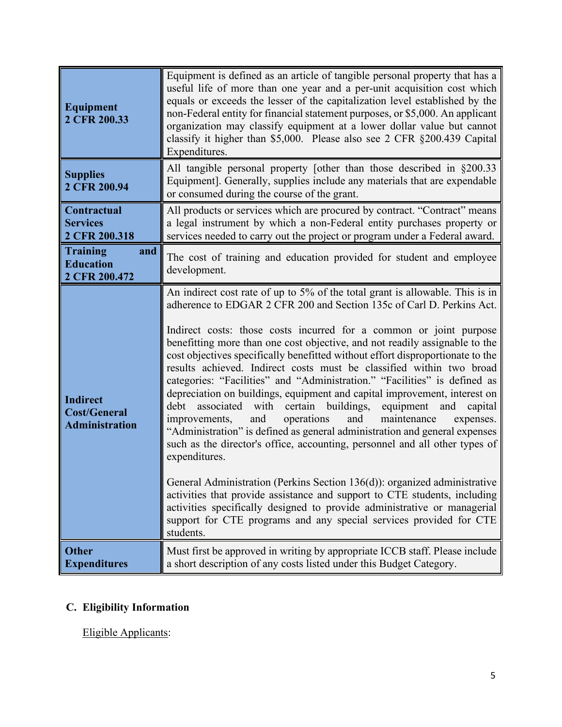| <b>Equipment</b><br>2 CFR 200.33                                | Equipment is defined as an article of tangible personal property that has a<br>useful life of more than one year and a per-unit acquisition cost which<br>equals or exceeds the lesser of the capitalization level established by the<br>non-Federal entity for financial statement purposes, or \$5,000. An applicant<br>organization may classify equipment at a lower dollar value but cannot<br>classify it higher than \$5,000. Please also see 2 CFR §200.439 Capital<br>Expenditures.                                                                                                                                                                                                                                                                                                                                                                                                                                                                                                                                                                                                                                                                                                                                                                                                    |  |
|-----------------------------------------------------------------|-------------------------------------------------------------------------------------------------------------------------------------------------------------------------------------------------------------------------------------------------------------------------------------------------------------------------------------------------------------------------------------------------------------------------------------------------------------------------------------------------------------------------------------------------------------------------------------------------------------------------------------------------------------------------------------------------------------------------------------------------------------------------------------------------------------------------------------------------------------------------------------------------------------------------------------------------------------------------------------------------------------------------------------------------------------------------------------------------------------------------------------------------------------------------------------------------------------------------------------------------------------------------------------------------|--|
| <b>Supplies</b><br>2 CFR 200.94                                 | All tangible personal property [other than those described in §200.33<br>Equipment]. Generally, supplies include any materials that are expendable<br>or consumed during the course of the grant.                                                                                                                                                                                                                                                                                                                                                                                                                                                                                                                                                                                                                                                                                                                                                                                                                                                                                                                                                                                                                                                                                               |  |
| <b>Contractual</b><br><b>Services</b><br>2 CFR 200.318          | All products or services which are procured by contract. "Contract" means<br>a legal instrument by which a non-Federal entity purchases property or<br>services needed to carry out the project or program under a Federal award.                                                                                                                                                                                                                                                                                                                                                                                                                                                                                                                                                                                                                                                                                                                                                                                                                                                                                                                                                                                                                                                               |  |
| <b>Training</b><br>and<br><b>Education</b><br>2 CFR 200.472     | The cost of training and education provided for student and employee<br>development.                                                                                                                                                                                                                                                                                                                                                                                                                                                                                                                                                                                                                                                                                                                                                                                                                                                                                                                                                                                                                                                                                                                                                                                                            |  |
| <b>Indirect</b><br><b>Cost/General</b><br><b>Administration</b> | An indirect cost rate of up to 5% of the total grant is allowable. This is in<br>adherence to EDGAR 2 CFR 200 and Section 135c of Carl D. Perkins Act.<br>Indirect costs: those costs incurred for a common or joint purpose<br>benefitting more than one cost objective, and not readily assignable to the<br>cost objectives specifically benefitted without effort disproportionate to the<br>results achieved. Indirect costs must be classified within two broad<br>categories: "Facilities" and "Administration." "Facilities" is defined as<br>depreciation on buildings, equipment and capital improvement, interest on<br>certain buildings,<br>associated<br>with<br>equipment and<br>debt<br>capital<br>and<br>operations<br>maintenance<br>improvements,<br>and<br>expenses.<br>"Administration" is defined as general administration and general expenses<br>such as the director's office, accounting, personnel and all other types of<br>expenditures.<br>General Administration (Perkins Section 136(d)): organized administrative<br>activities that provide assistance and support to CTE students, including<br>activities specifically designed to provide administrative or managerial<br>support for CTE programs and any special services provided for CTE<br>students. |  |
| <b>Other</b><br><b>Expenditures</b>                             | Must first be approved in writing by appropriate ICCB staff. Please include<br>a short description of any costs listed under this Budget Category.                                                                                                                                                                                                                                                                                                                                                                                                                                                                                                                                                                                                                                                                                                                                                                                                                                                                                                                                                                                                                                                                                                                                              |  |

# **C. Eligibility Information**

Eligible Applicants: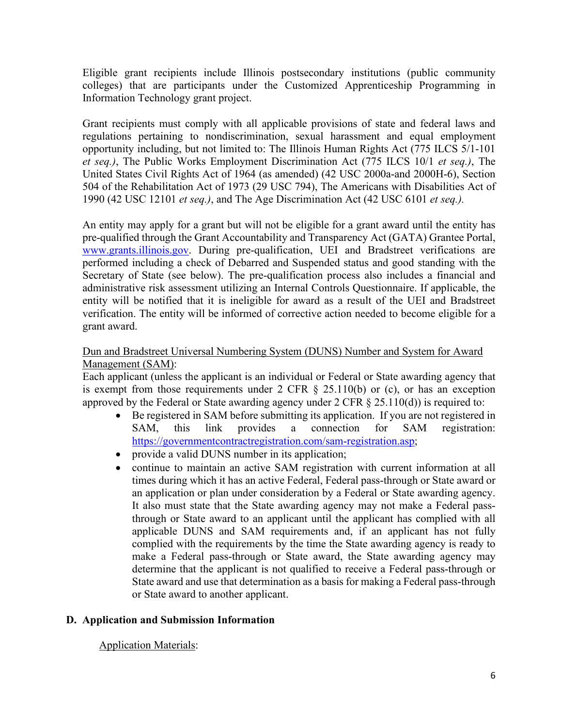Eligible grant recipients include Illinois postsecondary institutions (public community colleges) that are participants under the Customized Apprenticeship Programming in Information Technology grant project.

Grant recipients must comply with all applicable provisions of state and federal laws and regulations pertaining to nondiscrimination, sexual harassment and equal employment opportunity including, but not limited to: The Illinois Human Rights Act (775 ILCS 5/1-101 *et seq.)*, The Public Works Employment Discrimination Act (775 ILCS 10/1 *et seq.)*, The United States Civil Rights Act of 1964 (as amended) (42 USC 2000a-and 2000H-6), Section 504 of the Rehabilitation Act of 1973 (29 USC 794), The Americans with Disabilities Act of 1990 (42 USC 12101 *et seq.)*, and The Age Discrimination Act (42 USC 6101 *et seq.).*

An entity may apply for a grant but will not be eligible for a grant award until the entity has pre-qualified through the Grant Accountability and Transparency Act (GATA) Grantee Portal, [www.grants.illinois.gov.](http://www.grants.illinois.gov/) During pre-qualification, UEI and Bradstreet verifications are performed including a check of Debarred and Suspended status and good standing with the Secretary of State (see below). The pre-qualification process also includes a financial and administrative risk assessment utilizing an Internal Controls Questionnaire. If applicable, the entity will be notified that it is ineligible for award as a result of the UEI and Bradstreet verification. The entity will be informed of corrective action needed to become eligible for a grant award.

#### Dun and Bradstreet Universal Numbering System (DUNS) Number and System for Award Management (SAM):

Each applicant (unless the applicant is an individual or Federal or State awarding agency that is exempt from those requirements under 2 CFR  $\S$  25.110(b) or (c), or has an exception approved by the Federal or State awarding agency under  $2 \text{ CFR } \S$  25.110(d)) is required to:

- Be registered in SAM before submitting its application. If you are not registered in SAM, this link provides a connection for SAM registration: [https://governmentcontractregistration.com/sam-registration.asp;](https://governmentcontractregistration.com/sam-registration.asp)
- provide a valid DUNS number in its application;
- continue to maintain an active SAM registration with current information at all times during which it has an active Federal, Federal pass-through or State award or an application or plan under consideration by a Federal or State awarding agency. It also must state that the State awarding agency may not make a Federal passthrough or State award to an applicant until the applicant has complied with all applicable DUNS and SAM requirements and, if an applicant has not fully complied with the requirements by the time the State awarding agency is ready to make a Federal pass-through or State award, the State awarding agency may determine that the applicant is not qualified to receive a Federal pass-through or State award and use that determination as a basis for making a Federal pass-through or State award to another applicant.

#### **D. Application and Submission Information**

#### Application Materials: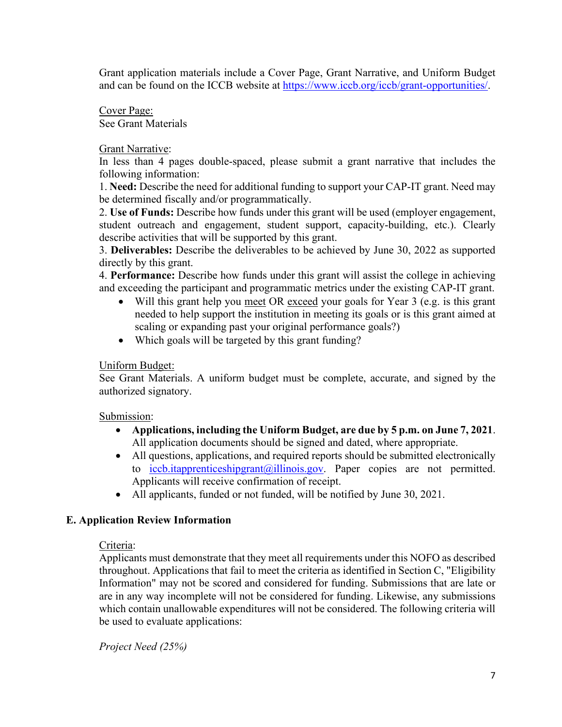Grant application materials include a Cover Page, Grant Narrative, and Uniform Budget and can be found on the ICCB website at [https://www.iccb.org/iccb/grant-opportunities/.](https://www.iccb.org/iccb/grant-opportunities/)

Cover Page: See Grant Materials

#### Grant Narrative:

In less than 4 pages double-spaced, please submit a grant narrative that includes the following information:

1. **Need:** Describe the need for additional funding to support your CAP-IT grant. Need may be determined fiscally and/or programmatically.

2. **Use of Funds:** Describe how funds under this grant will be used (employer engagement, student outreach and engagement, student support, capacity-building, etc.). Clearly describe activities that will be supported by this grant.

3. **Deliverables:** Describe the deliverables to be achieved by June 30, 2022 as supported directly by this grant.

4. **Performance:** Describe how funds under this grant will assist the college in achieving and exceeding the participant and programmatic metrics under the existing CAP-IT grant.

- Will this grant help you meet OR exceed your goals for Year 3 (e.g. is this grant needed to help support the institution in meeting its goals or is this grant aimed at scaling or expanding past your original performance goals?)
- Which goals will be targeted by this grant funding?

#### Uniform Budget:

See Grant Materials. A uniform budget must be complete, accurate, and signed by the authorized signatory.

#### Submission:

- **Applications, including the Uniform Budget, are due by 5 p.m. on June 7, 2021**. All application documents should be signed and dated, where appropriate.
- All questions, applications, and required reports should be submitted electronically to  $\text{iccb.}$ itapprenticeshipgrant $\textcircled{a}$ illinois.gov. Paper copies are not permitted. Applicants will receive confirmation of receipt.
- All applicants, funded or not funded, will be notified by June 30, 2021.

#### **E. Application Review Information**

#### Criteria:

Applicants must demonstrate that they meet all requirements under this NOFO as described throughout. Applications that fail to meet the criteria as identified in Section C, "Eligibility Information" may not be scored and considered for funding. Submissions that are late or are in any way incomplete will not be considered for funding. Likewise, any submissions which contain unallowable expenditures will not be considered. The following criteria will be used to evaluate applications:

*Project Need (25%)*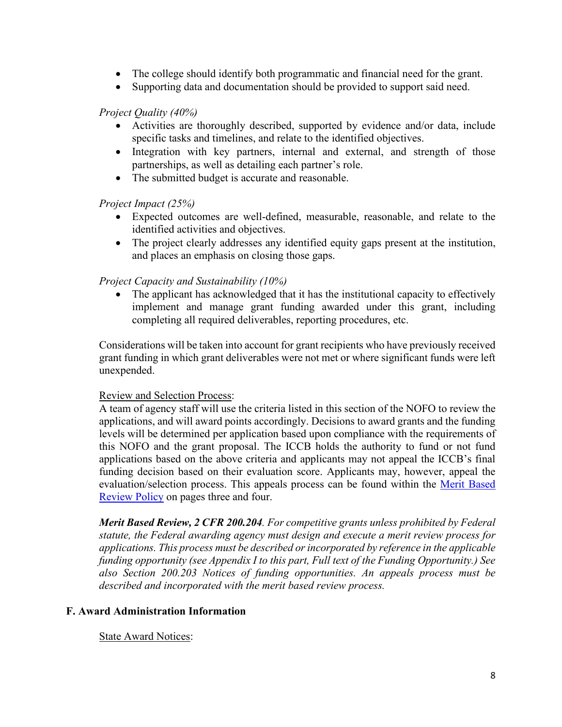- The college should identify both programmatic and financial need for the grant.
- Supporting data and documentation should be provided to support said need.

#### *Project Quality (40%)*

- Activities are thoroughly described, supported by evidence and/or data, include specific tasks and timelines, and relate to the identified objectives.
- Integration with key partners, internal and external, and strength of those partnerships, as well as detailing each partner's role.
- The submitted budget is accurate and reasonable.

#### *Project Impact (25%)*

- Expected outcomes are well-defined, measurable, reasonable, and relate to the identified activities and objectives.
- The project clearly addresses any identified equity gaps present at the institution, and places an emphasis on closing those gaps.

## *Project Capacity and Sustainability (10%)*

• The applicant has acknowledged that it has the institutional capacity to effectively implement and manage grant funding awarded under this grant, including completing all required deliverables, reporting procedures, etc.

Considerations will be taken into account for grant recipients who have previously received grant funding in which grant deliverables were not met or where significant funds were left unexpended.

#### Review and Selection Process:

A team of agency staff will use the criteria listed in this section of the NOFO to review the applications, and will award points accordingly. Decisions to award grants and the funding levels will be determined per application based upon compliance with the requirements of this NOFO and the grant proposal. The ICCB holds the authority to fund or not fund applications based on the above criteria and applicants may not appeal the ICCB's final funding decision based on their evaluation score. Applicants may, however, appeal the evaluation/selection process. This appeals process can be found within the Merit Based [Review Policy](https://www.illinois.gov/sites/GATA/Documents/Resource%20Library/Merit%20Based%20Review%20Policy%20FY19.pdf) on pages three and four.

*Merit Based Review, 2 CFR 200.204. For competitive grants unless prohibited by Federal statute, the Federal awarding agency must design and execute a merit review process for applications. This process must be described or incorporated by reference in the applicable funding opportunity (see Appendix I to this part, Full text of the Funding Opportunity.) See also Section 200.203 Notices of funding opportunities. An appeals process must be described and incorporated with the merit based review process.*

#### **F. Award Administration Information**

#### State Award Notices: